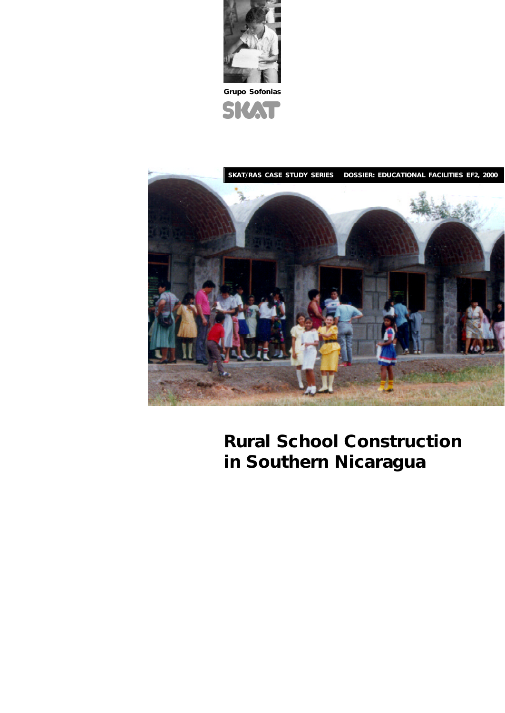

**Grupo Sofonias**





# **Rural School Construction in Southern Nicaragua**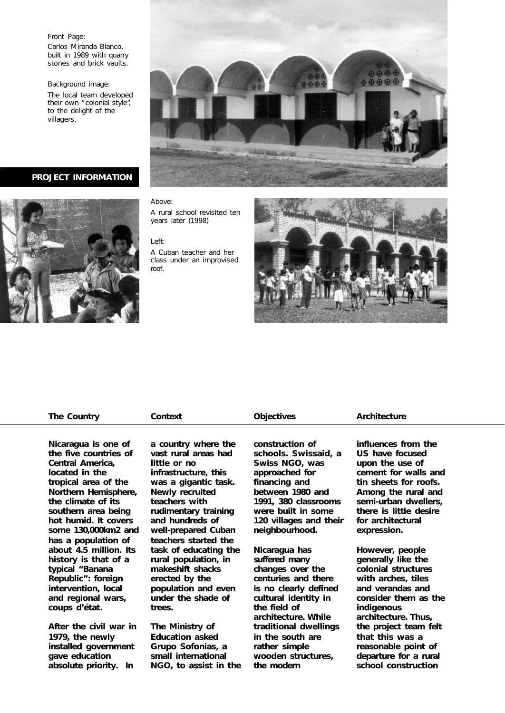## Front Page:

Carlos Miranda Blanco, built in 1989 with quarry stones and brick vaults.

Background image:

The local team developed their own "colonial style", to the delight of the villagers.

**PROJECT INFORMATION**



### Above:

A rural school revisited ten years later (1998)

# Left:

A Cuban teacher and her class under an improvised roof.



# **The Country Context Objectives Architecture**

**Nicaragua is one of the five countries of Central America, located in the tropical area of the Northern Hemisphere, the climate of its southern area being hot humid. It covers some 130,000km2 and has a population of about 4.5 million. Its history is that of a typical "Banana Republic": foreign intervention, local and regional wars, coups d'état.**

**After the civil war in 1979, the newly installed government gave education absolute priority. In**

**a country where the vast rural areas had little or no infrastructure, this was a gigantic task. Newly recruited teachers with rudimentary training and hundreds of well-prepared Cuban teachers started the task of educating the rural population, in makeshift shacks erected by the population and even under the shade of trees.**

**The Ministry of Education asked Grupo Sofonias, a small international NGO, to assist in the**

**construction of schools. Swissaid, a Swiss NGO, was approached for financing and between 1980 and 1991, 380 classrooms were built in some 120 villages and their neighbourhood.**

**Nicaragua has suffered many changes over the centuries and there is no clearly defined cultural identity in the field of architecture. While traditional dwellings in the south are rather simple wooden structures, the modern**

**influences from the US have focused upon the use of cement for walls and tin sheets for roofs. Among the rural and semi-urban dwellers, there is little desire for architectural expression.**

**However, people generally like the colonial structures with arches, tiles and verandas and consider them as the indigenous architecture. Thus, the project team felt that this was a reasonable point of departure for a rural school construction**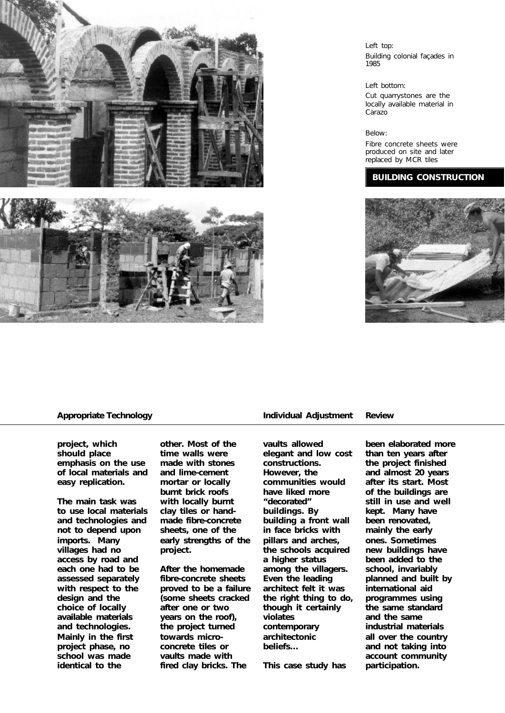

# Left top: Building colonial façades in 1985

## Left bottom:

Cut quarrystones are the locally available material in Carazo

# Below:

Fibre concrete sheets were produced on site and later replaced by MCR tiles

# **BUILDING CONSTRUCTION**



**project, which should place emphasis on the use of local materials and easy replication.**

**The main task was to use local materials and technologies and not to depend upon imports. Many villages had no access by road and each one had to be assessed separately with respect to the design and the choice of locally available materials and technologies. Mainly in the first project phase, no school was made identical to the**

**other. Most of the time walls were made with stones and lime-cement mortar or locally burnt brick roofs with locally burnt clay tiles or handmade fibre-concrete sheets, one of the early strengths of the project.**

**After the homemade fibre-concrete sheets proved to be a failure (some sheets cracked after one or two years on the roof), the project turned towards microconcrete tiles or vaults made with fired clay bricks. The**

# **Appropriate Technology Individual Adjustment Review**

**vaults allowed elegant and low cost constructions. However, the communities would have liked more "decorated" buildings. By building a front wall in face bricks with pillars and arches, the schools acquired a higher status among the villagers. Even the leading architect felt it was the right thing to do, though it certainly violates contemporary architectonic beliefs…**

**This case study has**

**been elaborated more than ten years after the project finished and almost 20 years after its start. Most of the buildings are still in use and well kept. Many have been renovated, mainly the early ones. Sometimes new buildings have been added to the school, invariably planned and built by international aid programmes using the same standard and the same industrial materials all over the country and not taking into account community participation.**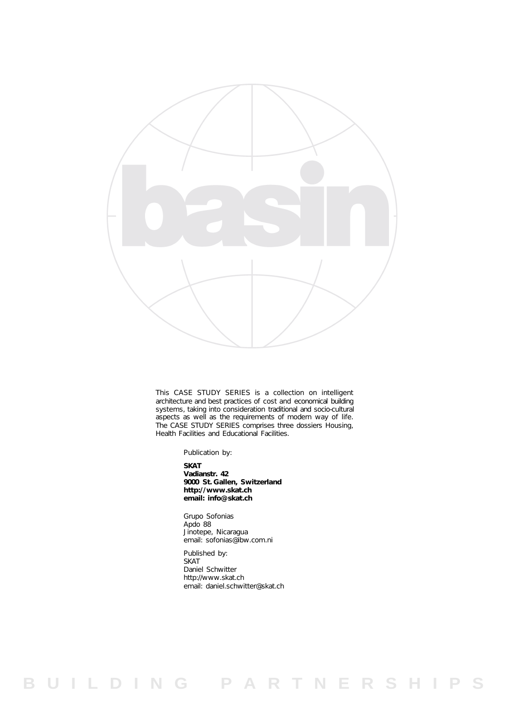

This CASE STUDY SERIES is a collection on intelligent architecture and best practices of cost and economical building systems, taking into consideration traditional and socio-cultural aspects as well as the requirements of modern way of life. The CASE STUDY SERIES comprises three dossiers Housing, Health Facilities and Educational Facilities.

Publication by:

**SKAT Vadianstr. 42 9000 St. Gallen, Switzerland http://www.skat.ch email: info@skat.ch**

Grupo Sofonias Apdo 88 Jinotepe, Nicaragua email: sofonias@ibw.com.ni

Published by: **SKAT** Daniel Schwitter http://www.skat.ch email: daniel.schwitter@skat.ch

**B U I L D I N G P A R T N E R S H I P S**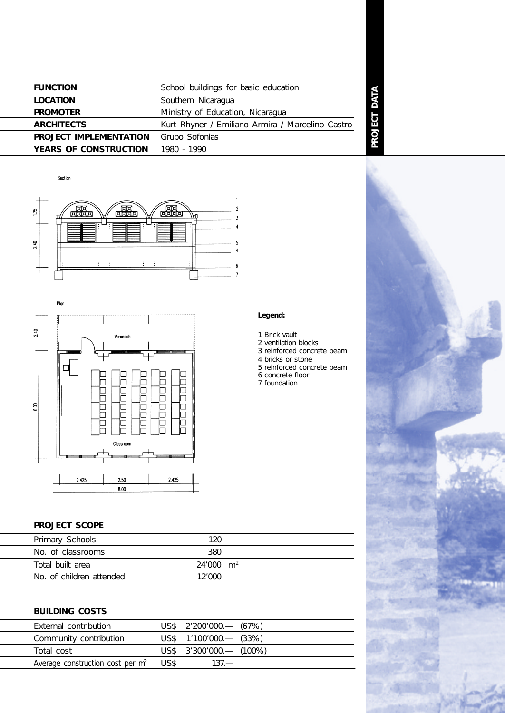| <b>FUNCTION</b>               | School buildings for basic education             |  |
|-------------------------------|--------------------------------------------------|--|
| <b>LOCATION</b>               | Southern Nicaragua                               |  |
| <b>PROMOTER</b>               | Ministry of Education, Nicaragua                 |  |
| <b>ARCHITECTS</b>             | Kurt Rhyner / Emiliano Armira / Marcelino Castro |  |
| <b>PROJECT IMPLEMENTATION</b> | Grupo Sofonias                                   |  |
| YEARS OF CONSTRUCTION         | 1980 - 1990                                      |  |

Section





# **PROJECT SCOPE**

| Primary Schools          | 120                  |  |
|--------------------------|----------------------|--|
| No. of classrooms        | 380                  |  |
| Total built area         | $24'000 \text{ m}^2$ |  |
| No. of children attended | 12'000               |  |
|                          |                      |  |

# **BUILDING COSTS**

| External contribution                             | $\text{USS}$ 2'200'000.— (67%)  |  |
|---------------------------------------------------|---------------------------------|--|
| Community contribution                            | $\text{US$}$ 1'100'000.— (33%)  |  |
| Total cost                                        | $\text{US$}$ 3'300'000.— (100%) |  |
| Average construction cost per m <sup>2</sup> US\$ | $137 -$                         |  |
|                                                   |                                 |  |

# **Legend:**

- 1 Brick vault
- 2 ventilation blocks

**PROJECT DATA**

PROJECT DATA

- 3 reinforced concrete beam
- 4 bricks or stone
- 5 reinforced concrete beam 6 concrete floor
- 7 foundation